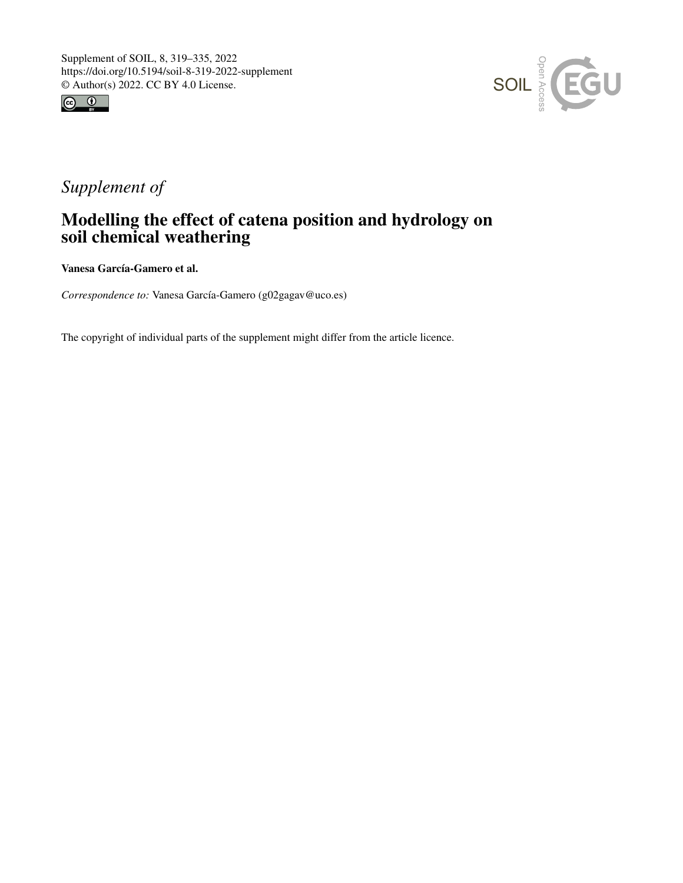



# *Supplement of*

# Modelling the effect of catena position and hydrology on soil chemical weathering

Vanesa García-Gamero et al.

*Correspondence to:* Vanesa García-Gamero (g02gagav@uco.es)

The copyright of individual parts of the supplement might differ from the article licence.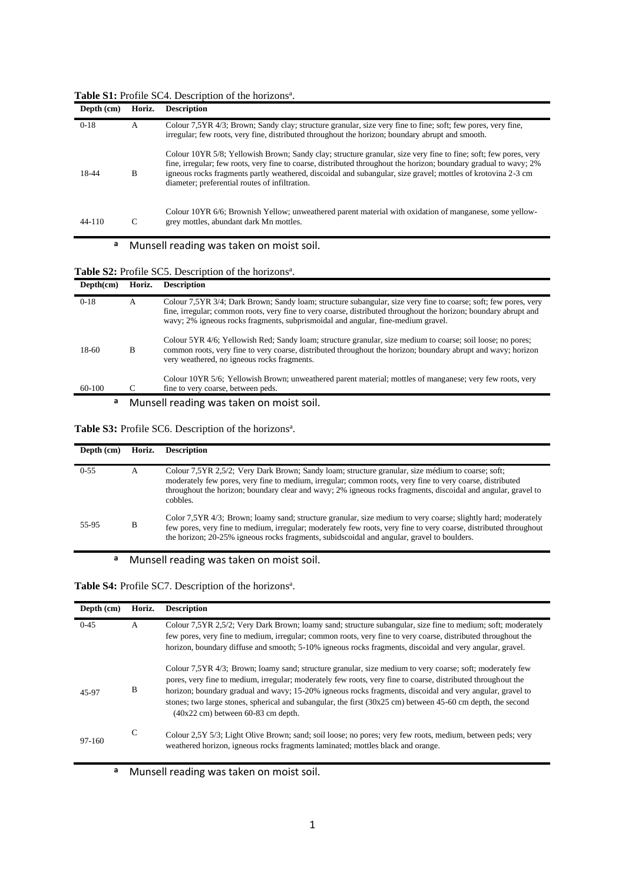|  | Table S1: Profile SC4. Description of the horizons <sup>a</sup> . |
|--|-------------------------------------------------------------------|
|--|-------------------------------------------------------------------|

| Depth (cm) | Horiz. | <b>Description</b>                                                                                                                                                                                                                                                                                                                                                                                     |
|------------|--------|--------------------------------------------------------------------------------------------------------------------------------------------------------------------------------------------------------------------------------------------------------------------------------------------------------------------------------------------------------------------------------------------------------|
| $0-18$     | A      | Colour 7,5YR 4/3; Brown; Sandy clay; structure granular, size very fine to fine; soft; few pores, very fine,<br>irregular; few roots, very fine, distributed throughout the horizon; boundary abrupt and smooth.                                                                                                                                                                                       |
| 18-44      | B      | Colour 10YR 5/8; Yellowish Brown; Sandy clay; structure granular, size very fine to fine; soft; few pores, very<br>fine, irregular; few roots, very fine to coarse, distributed throughout the horizon; boundary gradual to wavy; 2%<br>igneous rocks fragments partly weathered, discoidal and subangular, size gravel; mottles of krotovina 2-3 cm<br>diameter; preferential routes of infiltration. |
| $44 - 110$ |        | Colour 10YR 6/6; Brownish Yellow; unweathered parent material with oxidation of manganese, some yellow-<br>grey mottles, abundant dark Mn mottles.                                                                                                                                                                                                                                                     |

## **<sup>a</sup>** Munsell reading was taken on moist soil.

#### Table S2: Profile SC5. Description of the horizons<sup>a</sup>.

| Depth(cm) | Horiz. | <b>Description</b>                                                                                                                                                                                                                                                                                                      |  |  |  |  |  |  |  |
|-----------|--------|-------------------------------------------------------------------------------------------------------------------------------------------------------------------------------------------------------------------------------------------------------------------------------------------------------------------------|--|--|--|--|--|--|--|
| $0-18$    | А      | Colour 7,5YR 3/4; Dark Brown; Sandy loam; structure subangular, size very fine to coarse; soft; few pores, very<br>fine, irregular; common roots, very fine to very coarse, distributed throughout the horizon; boundary abrupt and<br>wavy; 2% igneous rocks fragments, subprismoidal and angular, fine-medium gravel. |  |  |  |  |  |  |  |
| 18-60     | B      | Colour 5YR 4/6; Yellowish Red; Sandy loam; structure granular, size medium to coarse; soil loose; no pores;<br>common roots, very fine to very coarse, distributed throughout the horizon; boundary abrupt and wavy; horizon<br>very weathered, no igneous rocks fragments.                                             |  |  |  |  |  |  |  |
| 60-100    |        | Colour 10YR 5/6; Yellowish Brown; unweathered parent material; mottles of manganese; very few roots, very<br>fine to very coarse, between peds.                                                                                                                                                                         |  |  |  |  |  |  |  |
| а         |        | Munsell reading was taken on moist soil.                                                                                                                                                                                                                                                                                |  |  |  |  |  |  |  |

#### Table S3: Profile SC6. Description of the horizons<sup>a</sup>.

| Depth (cm) | Horiz. | <b>Description</b>                                                                                                                                                                                                                                                                                                                          |
|------------|--------|---------------------------------------------------------------------------------------------------------------------------------------------------------------------------------------------------------------------------------------------------------------------------------------------------------------------------------------------|
| $0 - 55$   | А      | Colour 7,5YR 2,5/2; Very Dark Brown; Sandy loam; structure granular, size médium to coarse; soft;<br>moderately few pores, very fine to medium, irregular; common roots, very fine to very coarse, distributed<br>throughout the horizon; boundary clear and wavy; 2% igneous rocks fragments, discoidal and angular, gravel to<br>cobbles. |
| 55-95      | B      | Color 7,5YR 4/3; Brown; loamy sand; structure granular, size medium to very coarse; slightly hard; moderately<br>few pores, very fine to medium, irregular; moderately few roots, very fine to very coarse, distributed throughout<br>the horizon; 20-25% igneous rocks fragments, subidscoidal and angular, gravel to boulders.            |

## **<sup>a</sup>** Munsell reading was taken on moist soil.

#### Table S4: Profile SC7. Description of the horizons<sup>a</sup>.

| Depth (cm) | Horiz. | <b>Description</b>                                                                                                                                                                                                                                                                                                                                                                                                                                                                                      |
|------------|--------|---------------------------------------------------------------------------------------------------------------------------------------------------------------------------------------------------------------------------------------------------------------------------------------------------------------------------------------------------------------------------------------------------------------------------------------------------------------------------------------------------------|
| $0 - 4.5$  | A      | Colour 7,5YR 2,5/2; Very Dark Brown; loamy sand; structure subangular, size fine to medium; soft; moderately<br>few pores, very fine to medium, irregular; common roots, very fine to very coarse, distributed throughout the<br>horizon, boundary diffuse and smooth; 5-10% igneous rocks fragments, discoidal and very angular, gravel.                                                                                                                                                               |
| 45-97      | B      | Colour 7,5YR 4/3; Brown; loamy sand; structure granular, size medium to very coarse; soft; moderately few<br>pores, very fine to medium, irregular; moderately few roots, very fine to coarse, distributed throughout the<br>horizon; boundary gradual and wavy; 15-20% igneous rocks fragments, discoidal and very angular, gravel to<br>stones; two large stones, spherical and subangular, the first $(30x25 \text{ cm})$ between 45-60 cm depth, the second<br>$(40x22$ cm) between 60-83 cm depth. |
| 97-160     | C      | Colour 2,5Y 5/3; Light Olive Brown; sand; soil loose; no pores; very few roots, medium, between peds; very<br>weathered horizon, igneous rocks fragments laminated; mottles black and orange.                                                                                                                                                                                                                                                                                                           |

**<sup>a</sup>** Munsell reading was taken on moist soil.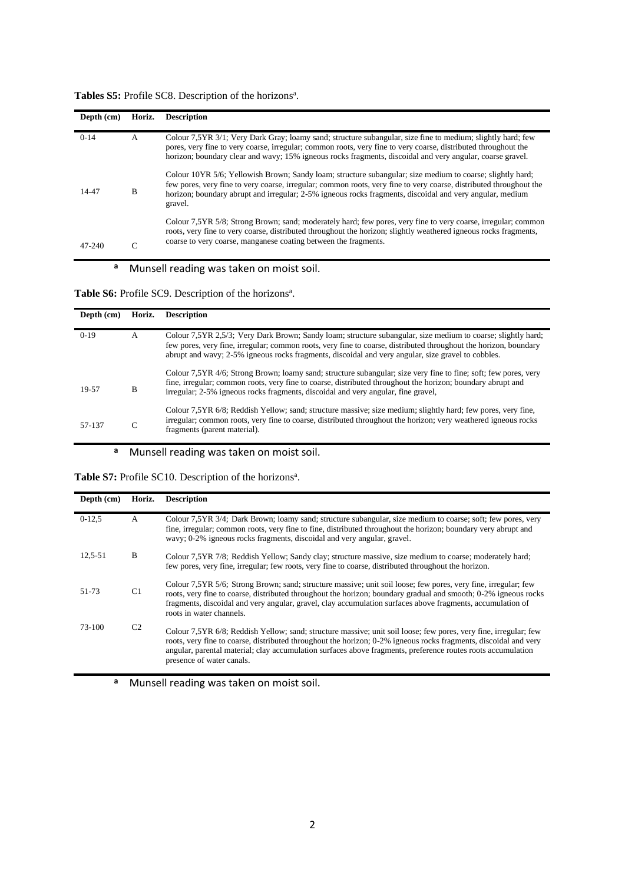| Tables S5: Profile SC8. Description of the horizons <sup>a</sup> . |  |  |
|--------------------------------------------------------------------|--|--|
|--------------------------------------------------------------------|--|--|

| Depth (cm) | Horiz. | <b>Description</b>                                                                                                                                                                                                                                                                                                                                     |
|------------|--------|--------------------------------------------------------------------------------------------------------------------------------------------------------------------------------------------------------------------------------------------------------------------------------------------------------------------------------------------------------|
| $0-14$     | A      | Colour 7.5YR 3/1; Very Dark Gray; loamy sand; structure subangular, size fine to medium; slightly hard; few<br>pores, very fine to very coarse, irregular; common roots, very fine to very coarse, distributed throughout the<br>horizon; boundary clear and wavy; 15% igneous rocks fragments, discoidal and very angular, coarse gravel.             |
| 14-47      | B      | Colour 10YR 5/6; Yellowish Brown; Sandy loam; structure subangular; size medium to coarse; slightly hard;<br>few pores, very fine to very coarse, irregular; common roots, very fine to very coarse, distributed throughout the<br>horizon; boundary abrupt and irregular; 2-5% igneous rocks fragments, discoidal and very angular, medium<br>gravel. |
| 47-240     | ⌒      | Colour 7,5YR 5/8; Strong Brown; sand; moderately hard; few pores, very fine to very coarse, irregular; common<br>roots, very fine to very coarse, distributed throughout the horizon; slightly weathered igneous rocks fragments,<br>coarse to very coarse, manganese coating between the fragments.                                                   |

## **<sup>a</sup>** Munsell reading was taken on moist soil.

Table S6: Profile SC9. Description of the horizons<sup>a</sup>.

| Depth (cm) | Horiz. | <b>Description</b>                                                                                                                                                                                                                                                                                                                     |
|------------|--------|----------------------------------------------------------------------------------------------------------------------------------------------------------------------------------------------------------------------------------------------------------------------------------------------------------------------------------------|
| $0-19$     | A      | Colour 7,5YR 2,5/3; Very Dark Brown; Sandy loam; structure subangular, size medium to coarse; slightly hard;<br>few pores, very fine, irregular; common roots, very fine to coarse, distributed throughout the horizon, boundary<br>abrupt and wavy; 2-5% igneous rocks fragments, discoidal and very angular, size gravel to cobbles. |
| 19-57      | B      | Colour 7,5YR 4/6; Strong Brown; loamy sand; structure subangular; size very fine to fine; soft; few pores, very<br>fine, irregular; common roots, very fine to coarse, distributed throughout the horizon; boundary abrupt and<br>irregular; 2-5% igneous rocks fragments, discoidal and very angular, fine gravel,                    |
| 57-137     |        | Colour 7,5YR 6/8; Reddish Yellow; sand; structure massive; size medium; slightly hard; few pores, very fine,<br>irregular; common roots, very fine to coarse, distributed throughout the horizon; very weathered igneous rocks<br>fragments (parent material).                                                                         |

### **<sup>a</sup>** Munsell reading was taken on moist soil.

Table S7: Profile SC10. Description of the horizons<sup>a</sup>.

| Depth (cm) | Horiz.         | <b>Description</b>                                                                                                                                                                                                                                                                                                                                                                |
|------------|----------------|-----------------------------------------------------------------------------------------------------------------------------------------------------------------------------------------------------------------------------------------------------------------------------------------------------------------------------------------------------------------------------------|
| $0-12,5$   | A              | Colour 7,5YR 3/4; Dark Brown; loamy sand; structure subangular, size medium to coarse; soft; few pores, very<br>fine, irregular; common roots, very fine to fine, distributed throughout the horizon; boundary very abrupt and<br>wavy; 0-2% igneous rocks fragments, discoidal and very angular, gravel.                                                                         |
| 12.5-51    | B              | Colour 7,5YR 7/8; Reddish Yellow; Sandy clay; structure massive, size medium to coarse; moderately hard;<br>few pores, very fine, irregular; few roots, very fine to coarse, distributed throughout the horizon.                                                                                                                                                                  |
| 51-73      | C <sub>1</sub> | Colour 7,5YR 5/6; Strong Brown; sand; structure massive; unit soil loose; few pores, very fine, irregular; few<br>roots, very fine to coarse, distributed throughout the horizon; boundary gradual and smooth; 0-2% igneous rocks<br>fragments, discoidal and very angular, gravel, clay accumulation surfaces above fragments, accumulation of<br>roots in water channels.       |
| 73-100     | C <sub>2</sub> | Colour 7,5YR 6/8; Reddish Yellow; sand; structure massive; unit soil loose; few pores, very fine, irregular; few<br>roots, very fine to coarse, distributed throughout the horizon; 0-2% igneous rocks fragments, discoidal and very<br>angular, parental material; clay accumulation surfaces above fragments, preference routes roots accumulation<br>presence of water canals. |

**<sup>a</sup>** Munsell reading was taken on moist soil.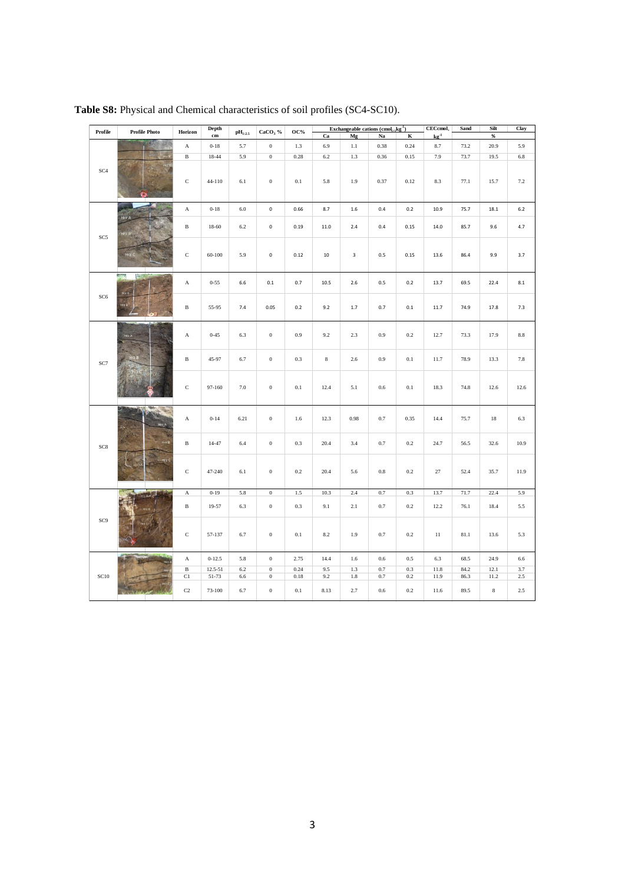|                                    | Profile<br><b>Profile Photo</b> |              | Depth         | Exchangeable cations $(\text{cmol}_{(+)} \text{kg}^{-1})$<br>$CaCO3$ %<br>$\mathbf{OC}\%$<br>$pH_{1:2.5}$ |                     |         | $CECcmol+$ | Sand                    | Silt        | Clay      |                             |      |         |         |
|------------------------------------|---------------------------------|--------------|---------------|-----------------------------------------------------------------------------------------------------------|---------------------|---------|------------|-------------------------|-------------|-----------|-----------------------------|------|---------|---------|
|                                    |                                 | Horizon      | $\mathbf{cm}$ |                                                                                                           |                     |         | Ca         | Mg                      | $_{\rm Na}$ | $\bf K$   | $\mathbf{k}\mathbf{g}^{-1}$ |      | $\%$    |         |
|                                    |                                 | $\mathbf A$  | $0 - 18$      | 5.7                                                                                                       | $\,0\,$             | 1.3     | 6.9        | $1.1\,$                 | 0.38        | 0.24      | 8.7                         | 73.2 | 20.9    | 5.9     |
|                                    |                                 | $\, {\bf B}$ | $18 - 44$     | 5.9                                                                                                       | $\overline{0}$      | 0.28    | $6.2\,$    | 1.3                     | 0.36        | 0.15      | 7.9                         | 73.7 | 19.5    | $6.8\,$ |
| SC <sub>4</sub>                    |                                 | $\mathbf C$  | 44-110        | $6.1\,$                                                                                                   | $\,$ 0 $\,$         | 0.1     | 5.8        | 1.9                     | 0.37        | 0.12      | 8.3                         | 77.1 | 15.7    | 7.2     |
|                                    |                                 | $\mathbf A$  | $0 - 18$      | $6.0\,$                                                                                                   | $\mathsf{O}\xspace$ | 0.66    | 8.7        | 1.6                     | 0.4         | 0.2       | 10.9                        | 75.7 | 18.1    | $6.2$   |
|                                    | Hrz                             |              |               |                                                                                                           |                     |         |            |                         |             |           |                             |      |         |         |
| SC5                                |                                 | $\, {\bf B}$ | 18-60         | $6.2\,$                                                                                                   | $\mathsf{O}\xspace$ | 0.19    | 11.0       | 2.4                     | 0.4         | 0.15      | 14.0                        | 85.7 | 9.6     | 4.7     |
|                                    | Hrz C                           | $\mathbf C$  | $60 - 100$    | 5.9                                                                                                       | $\mathbf 0$         | 0.12    | $10\,$     | $\overline{\mathbf{3}}$ | 0.5         | 0.15      | 13.6                        | 86.4 | 9.9     | 3.7     |
|                                    | Hrz                             | $_{\rm A}$   | $0 - 55$      | 6.6                                                                                                       | $0.1\,$             | 0.7     | 10.5       | 2.6                     | 0.5         | $0.2\,$   | 13.7                        | 69.5 | 22.4    | 8.1     |
| SC <sub>6</sub>                    | Hrz 8                           | $\, {\bf B}$ | 55-95         | $7.4\,$                                                                                                   | 0.05                | 0.2     | 9.2        | $1.7\,$                 | 0.7         | $0.1\,$   | 11.7                        | 74.9 | 17.8    | 7.3     |
|                                    | Hrz A                           | $\mathbf{A}$ | $0 - 45$      | 6.3                                                                                                       | $\boldsymbol{0}$    | 0.9     | 9.2        | 2.3                     | 0.9         | $0.2\,$   | 12.7                        | 73.3 | 17.9    | $8.8\,$ |
| $\ensuremath{\mathbf{SC7}}\xspace$ |                                 | $\, {\bf B}$ | 45-97         | 6.7                                                                                                       | $\,$ 0 $\,$         | 0.3     | $\bf 8$    | $2.6\,$                 | $0.9\,$     | $0.1\,$   | 11.7                        | 78.9 | 13.3    | 7.8     |
|                                    |                                 | $\mathbf C$  | 97-160        | 7.0                                                                                                       | $\,0\,$             | $0.1\,$ | 12.4       | 5.1                     | $0.6\,$     | 0.1       | 18.3                        | 74.8 | 12.6    | 12.6    |
|                                    | <b>STATISTICS</b>               | $\mathbf A$  | $0 - 14$      | 6.21                                                                                                      | $\,0\,$             | $1.6\,$ | 12.3       | 0.98                    | $0.7\,$     | 0.35      | 14.4                        | 75.7 | $18\,$  | 6.3     |
| $SC8\,$                            | Hrz B                           | $\, {\bf B}$ | $14 - 47$     | 6.4                                                                                                       | $\boldsymbol{0}$    | 0.3     | 20.4       | 3.4                     | 0.7         | $0.2\,$   | 24.7                        | 56.5 | 32.6    | 10.9    |
|                                    |                                 | $\mathbf C$  | 47-240        | 6.1                                                                                                       | $\,0\,$             | $0.2\,$ | 20.4       | 5.6                     | $\rm 0.8$   | $0.2\,$   | 27                          | 52.4 | 35.7    | 11.9    |
|                                    |                                 | $\mathbf A$  | $0 - 19$      | 5.8                                                                                                       | $\boldsymbol{0}$    | 1.5     | 10.3       | 2.4                     | 0.7         | $0.3\,$   | 13.7                        | 71.7 | 22.4    | 5.9     |
|                                    |                                 | $\, {\bf B}$ | 19-57         | 6.3                                                                                                       | $\boldsymbol{0}$    | 0.3     | 9.1        | $2.1\,$                 | $0.7\,$     | $0.2\,$   | 12.2                        | 76.1 | 18.4    | 5.5     |
| SC9                                |                                 | $\mathbf C$  | 57-137        | 6.7                                                                                                       | $\boldsymbol{0}$    | $0.1\,$ | $8.2\,$    | 1.9                     | $0.7\,$     | $\rm 0.2$ | $11\,$                      | 81.1 | 13.6    | 5.3     |
|                                    |                                 | $\mathbf A$  | $0 - 12.5$    | 5.8                                                                                                       | $\,0\,$             | 2.75    | 14.4       | $1.6\,$                 | $0.6\,$     | 0.5       | 6.3                         | 68.5 | 24.9    | $6.6\,$ |
|                                    |                                 | $\, {\bf B}$ | $12.5 - 51$   | $6.2\,$                                                                                                   | $\,0\,$             | 0.24    | 9.5        | 1.3                     | 0.7         | $0.3\,$   | $11.8\,$                    | 84.2 | 12.1    | 3.7     |
| <b>SC10</b>                        |                                 | C1           | 51-73         | 6.6                                                                                                       | $\,0\,$             | 0.18    | 9.2        | $1.8\,$                 | 0.7         | 0.2       | 11.9                        | 86.3 | 11.2    | 2.5     |
|                                    |                                 | $\rm{C2}$    | 73-100        | 6.7                                                                                                       | $\,0\,$             | $0.1\,$ | 8.13       | 2.7                     | $0.6\,$     | 0.2       | 11.6                        | 89.5 | $\bf 8$ | 2.5     |

**Table S8:** Physical and Chemical characteristics of soil profiles (SC4-SC10).